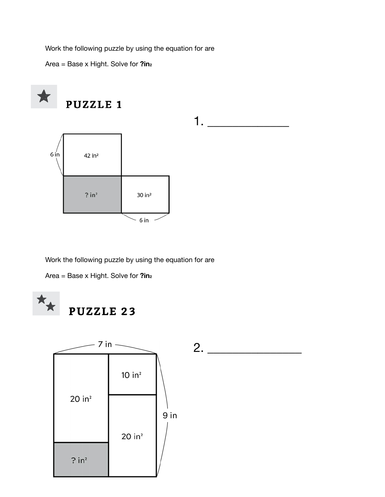Work the following puzzle by using the equation for are

Area = Base x Hight. Solve for **?in2**



Work the following puzzle by using the equation for are

Area = Base x Hight. Solve for **?in2** 



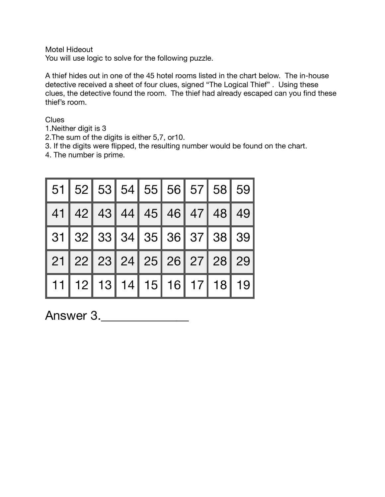Motel Hideout

You will use logic to solve for the following puzzle.

A thief hides out in one of the 45 hotel rooms listed in the chart below. The in-house detective received a sheet of four clues, signed "The Logical Thief" . Using these clues, the detective found the room. The thief had already escaped can you find these thief's room.

**Clues** 

- 1.Neither digit is 3
- 2.The sum of the digits is either 5,7, or10.
- 3. If the digits were flipped, the resulting number would be found on the chart.
- 4. The number is prime.

| 51   52   53   54   55   56   57   58   59 |  |  |  |  |
|--------------------------------------------|--|--|--|--|
| 41   42   43   44   45   46   47   48   49 |  |  |  |  |
| 31   32   33   34   35   36   37   38   39 |  |  |  |  |
| 21   22   23   24   25   26   27   28   29 |  |  |  |  |
| 11   12   13   14   15   16   17   18   19 |  |  |  |  |

Answer 3.\_\_\_\_\_\_\_\_\_\_\_\_\_\_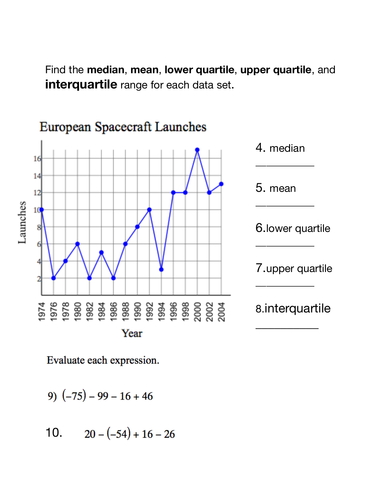Find the **median**, **mean**, **lower quartile**, **upper quartile**, and **interquartile** range for each data set.



Evaluate each expression.

$$
9) (-75) - 99 - 16 + 46
$$

10. 
$$
20 - (-54) + 16 - 26
$$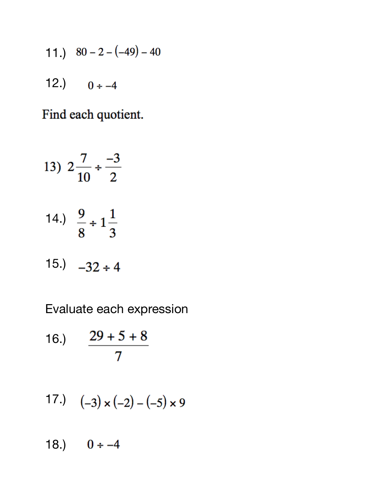- 11.)  $80 2 (-49) 40$
- 12.)  $0 \div -4$

Find each quotient.

13) 
$$
2\frac{7}{10} \div \frac{-3}{2}
$$
  
14.)  $\frac{9}{8} \div 1\frac{1}{3}$   
15.)  $-32 \div 4$ 

Evaluate each expression

16.) 
$$
\frac{29 + 5 + 8}{7}
$$

17.) 
$$
(-3) \times (-2) - (-5) \times 9
$$

18.)  $0 \div -4$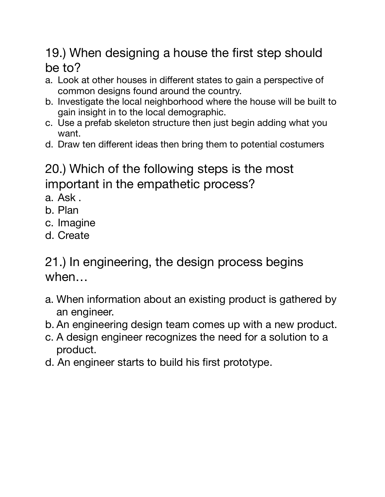## 19.) When designing a house the first step should be to?

- a. Look at other houses in different states to gain a perspective of common designs found around the country.
- b. Investigate the local neighborhood where the house will be built to gain insight in to the local demographic.
- c. Use a prefab skeleton structure then just begin adding what you want.
- d. Draw ten different ideas then bring them to potential costumers

# 20.) Which of the following steps is the most important in the empathetic process?

- a. Ask .
- b. Plan
- c. Imagine
- d. Create

## 21.) In engineering, the design process begins when…

- a. When information about an existing product is gathered by an engineer.
- b. An engineering design team comes up with a new product.
- c. A design engineer recognizes the need for a solution to a product.
- d. An engineer starts to build his first prototype.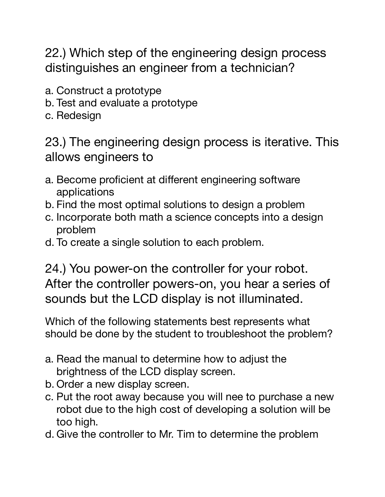22.) Which step of the engineering design process distinguishes an engineer from a technician?

- a. Construct a prototype
- b. Test and evaluate a prototype
- c. Redesign

23.) The engineering design process is iterative. This allows engineers to

- a. Become proficient at different engineering software applications
- b. Find the most optimal solutions to design a problem
- c. Incorporate both math a science concepts into a design problem
- d. To create a single solution to each problem.

24.) You power-on the controller for your robot. After the controller powers-on, you hear a series of sounds but the LCD display is not illuminated.

Which of the following statements best represents what should be done by the student to troubleshoot the problem?

- a. Read the manual to determine how to adjust the brightness of the LCD display screen.
- b. Order a new display screen.
- c. Put the root away because you will nee to purchase a new robot due to the high cost of developing a solution will be too high.
- d. Give the controller to Mr. Tim to determine the problem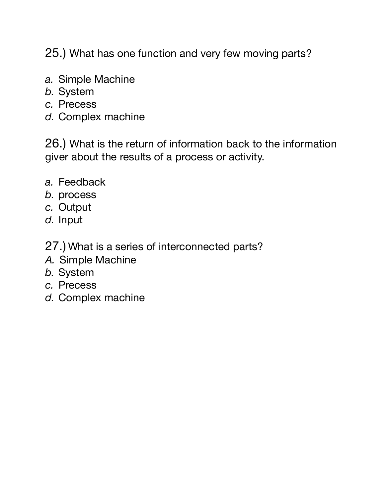25.) What has one function and very few moving parts?

- *a.* Simple Machine
- *b.* System
- *c.* Precess
- *d.* Complex machine

26.) What is the return of information back to the information giver about the results of a process or activity.

- *a.* Feedback
- *b.* process
- *c.* Output
- *d.* Input
- 27.) What is a series of interconnected parts?
- *A.* Simple Machine
- *b.* System
- *c.* Precess
- *d.* Complex machine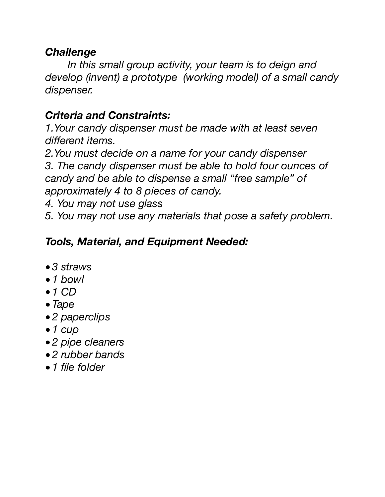#### *Challenge*

*In this small group activity, your team is to deign and develop (invent) a prototype (working model) of a small candy dispenser.* 

### *Criteria and Constraints:*

*1.Your candy dispenser must be made with at least seven different items.* 

*2.You must decide on a name for your candy dispenser 3. The candy dispenser must be able to hold four ounces of candy and be able to dispense a small "free sample" of approximately 4 to 8 pieces of candy.* 

*4. You may not use glass* 

*5. You may not use any materials that pose a safety problem.* 

### *Tools, Material, and Equipment Needed:*

- *• 3 straws*
- *• 1 bowl*
- *• 1 CD*
- *• Tape*
- *• 2 paperclips*
- *• 1 cup*
- *• 2 pipe cleaners*
- *• 2 rubber bands*
- *• 1 file folder*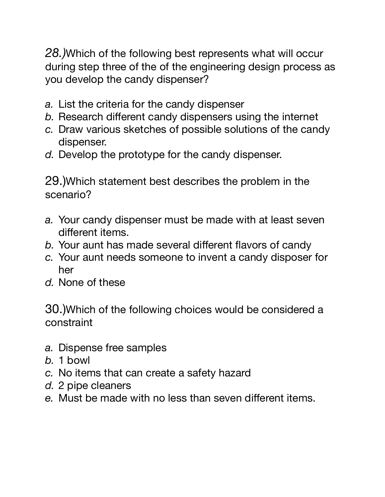*28.)*Which of the following best represents what will occur during step three of the of the engineering design process as you develop the candy dispenser?

- *a.* List the criteria for the candy dispenser
- *b.* Research different candy dispensers using the internet
- *c.* Draw various sketches of possible solutions of the candy dispenser.
- *d.* Develop the prototype for the candy dispenser.

29.)Which statement best describes the problem in the scenario?

- *a.* Your candy dispenser must be made with at least seven different items.
- *b.* Your aunt has made several different flavors of candy
- *c.* Your aunt needs someone to invent a candy disposer for her
- *d.* None of these

30.)Which of the following choices would be considered a constraint

- *a.* Dispense free samples
- *b.* 1 bowl
- *c.* No items that can create a safety hazard
- *d.* 2 pipe cleaners
- *e.* Must be made with no less than seven different items.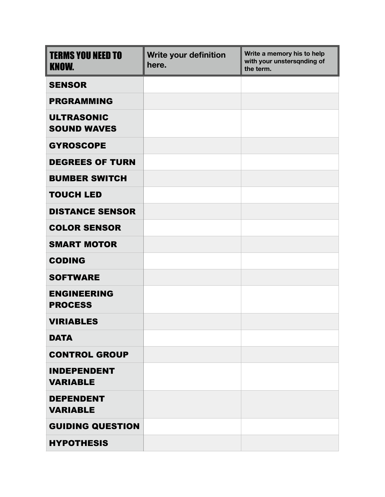| <b>TERMS YOU NEED TO</b><br><b>KNOW.</b> | Write your definition<br>here. | Write a memory his to help<br>with your unstersqnding of<br>the term. |
|------------------------------------------|--------------------------------|-----------------------------------------------------------------------|
| <b>SENSOR</b>                            |                                |                                                                       |
| <b>PRGRAMMING</b>                        |                                |                                                                       |
| <b>ULTRASONIC</b><br><b>SOUND WAVES</b>  |                                |                                                                       |
| <b>GYROSCOPE</b>                         |                                |                                                                       |
| <b>DEGREES OF TURN</b>                   |                                |                                                                       |
| <b>BUMBER SWITCH</b>                     |                                |                                                                       |
| <b>TOUCH LED</b>                         |                                |                                                                       |
| <b>DISTANCE SENSOR</b>                   |                                |                                                                       |
| <b>COLOR SENSOR</b>                      |                                |                                                                       |
| <b>SMART MOTOR</b>                       |                                |                                                                       |
| <b>CODING</b>                            |                                |                                                                       |
| <b>SOFTWARE</b>                          |                                |                                                                       |
| <b>ENGINEERING</b><br><b>PROCESS</b>     |                                |                                                                       |
| <b>VIRIABLES</b>                         |                                |                                                                       |
| <b>DATA</b>                              |                                |                                                                       |
| <b>CONTROL GROUP</b>                     |                                |                                                                       |
| <b>INDEPENDENT</b><br><b>VARIABLE</b>    |                                |                                                                       |
| <b>DEPENDENT</b><br><b>VARIABLE</b>      |                                |                                                                       |
| <b>GUIDING QUESTION</b>                  |                                |                                                                       |
| <b>HYPOTHESIS</b>                        |                                |                                                                       |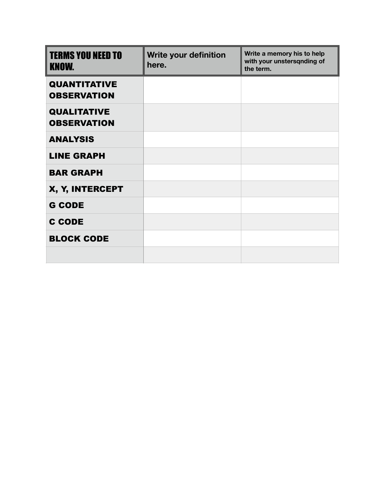| <b>TERMS YOU NEED TO</b><br><b>KNOW.</b>  | <b>Write your definition</b><br>here. | Write a memory his to help<br>with your unstersqnding of<br>the term. |
|-------------------------------------------|---------------------------------------|-----------------------------------------------------------------------|
| <b>QUANTITATIVE</b><br><b>OBSERVATION</b> |                                       |                                                                       |
| <b>QUALITATIVE</b><br><b>OBSERVATION</b>  |                                       |                                                                       |
| <b>ANALYSIS</b>                           |                                       |                                                                       |
| <b>LINE GRAPH</b>                         |                                       |                                                                       |
| <b>BAR GRAPH</b>                          |                                       |                                                                       |
| X, Y, INTERCEPT                           |                                       |                                                                       |
| <b>G CODE</b>                             |                                       |                                                                       |
| <b>C CODE</b>                             |                                       |                                                                       |
| <b>BLOCK CODE</b>                         |                                       |                                                                       |
|                                           |                                       |                                                                       |